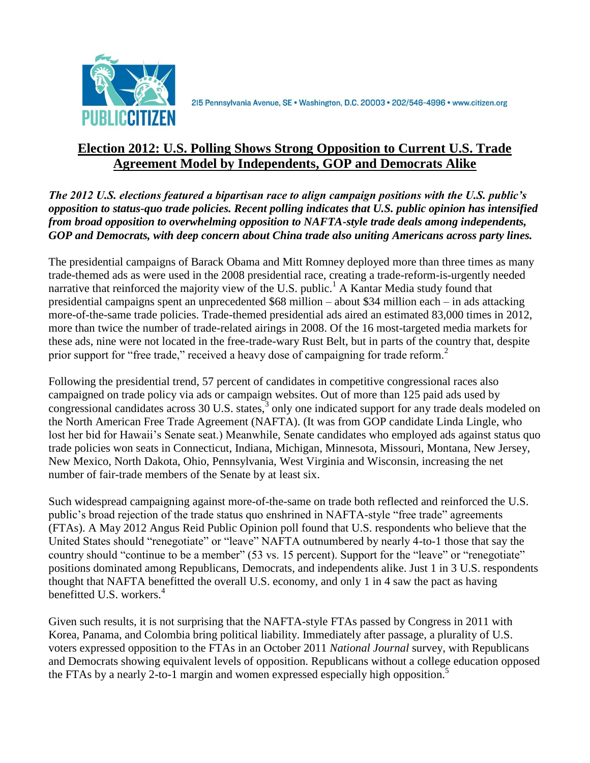

2I5 Pennsylvania Avenue, SE · Washington, D.C. 20003 · 202/546-4996 · www.citizen.org

## **Election 2012: U.S. Polling Shows Strong Opposition to Current U.S. Trade Agreement Model by Independents, GOP and Democrats Alike**

*The 2012 U.S. elections featured a bipartisan race to align campaign positions with the U.S. public's opposition to status-quo trade policies. Recent polling indicates that U.S. public opinion has intensified from broad opposition to overwhelming opposition to NAFTA-style trade deals among independents, GOP and Democrats, with deep concern about China trade also uniting Americans across party lines.*

The presidential campaigns of Barack Obama and Mitt Romney deployed more than three times as many trade-themed ads as were used in the 2008 presidential race, creating a trade-reform-is-urgently needed narrative that reinforced the majority view of the U.S. public.<sup>1</sup> A Kantar Media study found that presidential campaigns spent an unprecedented \$68 million – about \$34 million each – in ads attacking more-of-the-same trade policies. Trade-themed presidential ads aired an estimated 83,000 times in 2012, more than twice the number of trade-related airings in 2008. Of the 16 most-targeted media markets for these ads, nine were not located in the free-trade-wary Rust Belt, but in parts of the country that, despite prior support for "free trade," received a heavy dose of campaigning for trade reform.<sup>2</sup>

Following the presidential trend, 57 percent of candidates in competitive congressional races also campaigned on trade policy via ads or campaign websites. Out of more than 125 paid ads used by congressional candidates across  $30 \text{ U.S.}$  states,  $3 \text{ only one indicated support for any trade deals modeled on }$ the North American Free Trade Agreement (NAFTA). (It was from GOP candidate Linda Lingle, who lost her bid for Hawaii's Senate seat.) Meanwhile, Senate candidates who employed ads against status quo trade policies won seats in Connecticut, Indiana, Michigan, Minnesota, Missouri, Montana, New Jersey, New Mexico, North Dakota, Ohio, Pennsylvania, West Virginia and Wisconsin, increasing the net number of fair-trade members of the Senate by at least six.

Such widespread campaigning against more-of-the-same on trade both reflected and reinforced the U.S. public's broad rejection of the trade status quo enshrined in NAFTA-style "free trade" agreements (FTAs). A May 2012 Angus Reid Public Opinion poll found that U.S. respondents who believe that the United States should "renegotiate" or "leave" NAFTA outnumbered by nearly 4-to-1 those that say the country should "continue to be a member" (53 vs. 15 percent). Support for the "leave" or "renegotiate" positions dominated among Republicans, Democrats, and independents alike. Just 1 in 3 U.S. respondents thought that NAFTA benefitted the overall U.S. economy, and only 1 in 4 saw the pact as having benefitted U.S. workers.<sup>4</sup>

Given such results, it is not surprising that the NAFTA-style FTAs passed by Congress in 2011 with Korea, Panama, and Colombia bring political liability. Immediately after passage, a plurality of U.S. voters expressed opposition to the FTAs in an October 2011 *National Journal* survey, with Republicans and Democrats showing equivalent levels of opposition. Republicans without a college education opposed the FTAs by a nearly 2-to-1 margin and women expressed especially high opposition.<sup>5</sup>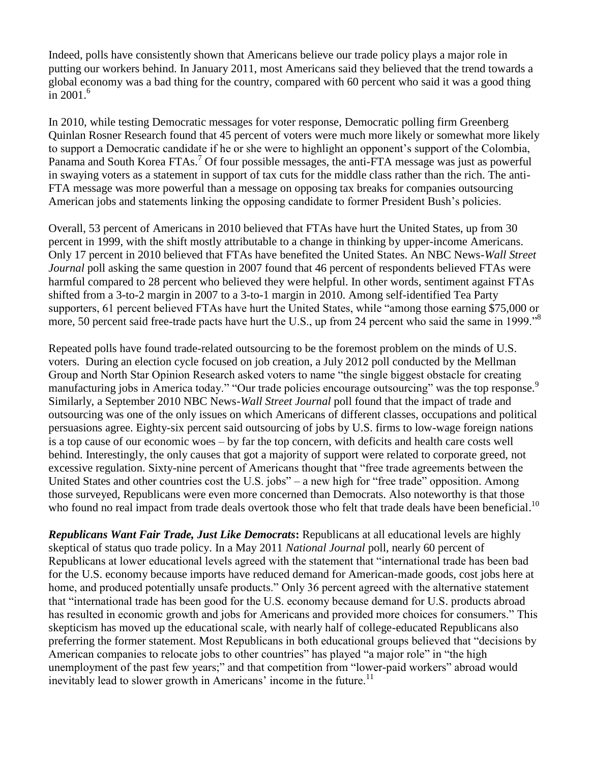Indeed, polls have consistently shown that Americans believe our trade policy plays a major role in putting our workers behind. In January 2011, most Americans said they believed that the trend towards a global economy was a bad thing for the country, compared with 60 percent who said it was a good thing in  $2001.<sup>6</sup>$ 

In 2010, while testing Democratic messages for voter response, Democratic polling firm Greenberg Quinlan Rosner Research found that 45 percent of voters were much more likely or somewhat more likely to support a Democratic candidate if he or she were to highlight an opponent's support of the Colombia, Panama and South Korea FTAs.<sup>7</sup> Of four possible messages, the anti-FTA message was just as powerful in swaying voters as a statement in support of tax cuts for the middle class rather than the rich. The anti-FTA message was more powerful than a message on opposing tax breaks for companies outsourcing American jobs and statements linking the opposing candidate to former President Bush's policies.

Overall, 53 percent of Americans in 2010 believed that FTAs have hurt the United States, up from 30 percent in 1999, with the shift mostly attributable to a change in thinking by upper-income Americans. Only 17 percent in 2010 believed that FTAs have benefited the United States. An NBC News-*Wall Street Journal* poll asking the same question in 2007 found that 46 percent of respondents believed FTAs were harmful compared to 28 percent who believed they were helpful. In other words, sentiment against FTAs shifted from a 3-to-2 margin in 2007 to a 3-to-1 margin in 2010. Among self-identified Tea Party supporters, 61 percent believed FTAs have hurt the United States, while "among those earning \$75,000 or more, 50 percent said free-trade pacts have hurt the U.S., up from 24 percent who said the same in 1999.<sup>78</sup>

Repeated polls have found trade-related outsourcing to be the foremost problem on the minds of U.S. voters. During an election cycle focused on job creation, a July 2012 poll conducted by the Mellman Group and North Star Opinion Research asked voters to name "the single biggest obstacle for creating manufacturing jobs in America today." "Our trade policies encourage outsourcing" was the top response.<sup>9</sup> Similarly, a September 2010 NBC News-*Wall Street Journal* poll found that the impact of trade and outsourcing was one of the only issues on which Americans of different classes, occupations and political persuasions agree. Eighty-six percent said outsourcing of jobs by U.S. firms to low-wage foreign nations is a top cause of our economic woes – by far the top concern, with deficits and health care costs well behind. Interestingly, the only causes that got a majority of support were related to corporate greed, not excessive regulation. Sixty-nine percent of Americans thought that "free trade agreements between the United States and other countries cost the U.S. jobs" – a new high for "free trade" opposition. Among those surveyed, Republicans were even more concerned than Democrats. Also noteworthy is that those who found no real impact from trade deals overtook those who felt that trade deals have been beneficial.<sup>10</sup>

*Republicans Want Fair Trade, Just Like Democrats***:** Republicans at all educational levels are highly skeptical of status quo trade policy. In a May 2011 *National Journal* poll, nearly 60 percent of Republicans at lower educational levels agreed with the statement that "international trade has been bad for the U.S. economy because imports have reduced demand for American-made goods, cost jobs here at home, and produced potentially unsafe products." Only 36 percent agreed with the alternative statement that "international trade has been good for the U.S. economy because demand for U.S. products abroad has resulted in economic growth and jobs for Americans and provided more choices for consumers." This skepticism has moved up the educational scale, with nearly half of college-educated Republicans also preferring the former statement. Most Republicans in both educational groups believed that "decisions by American companies to relocate jobs to other countries" has played "a major role" in "the high unemployment of the past few years;" and that competition from "lower-paid workers" abroad would inevitably lead to slower growth in Americans' income in the future.<sup>11</sup>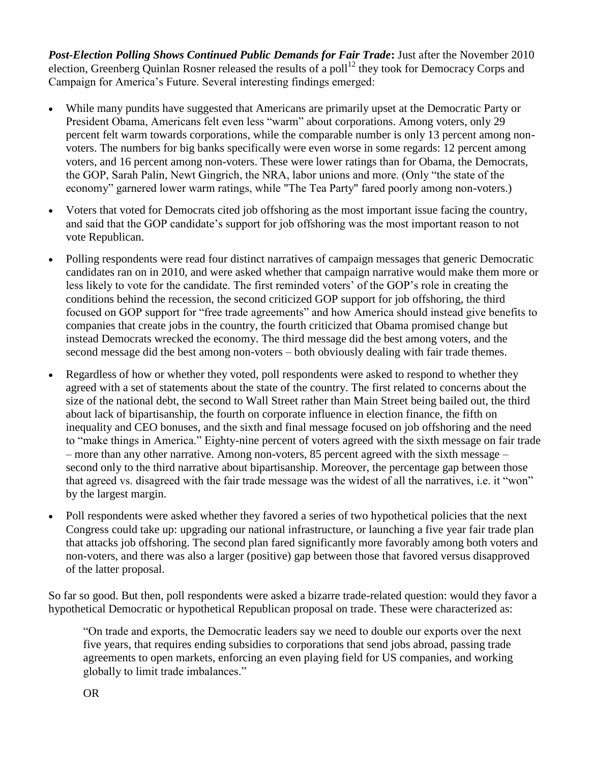*Post-Election Polling Shows Continued Public Demands for Fair Trade***:** Just after the November 2010 election, Greenberg Quinlan Rosner released the results of a poll<sup>12</sup> they took for Democracy Corps and Campaign for America's Future. Several interesting findings emerged:

- While many pundits have suggested that Americans are primarily upset at the Democratic Party or President Obama, Americans felt even less "warm" about corporations. Among voters, only 29 percent felt warm towards corporations, while the comparable number is only 13 percent among nonvoters. The numbers for big banks specifically were even worse in some regards: 12 percent among voters, and 16 percent among non-voters. These were lower ratings than for Obama, the Democrats, the GOP, Sarah Palin, Newt Gingrich, the NRA, labor unions and more. (Only "the state of the economy" garnered lower warm ratings, while "The Tea Party" fared poorly among non-voters.)
- Voters that voted for Democrats cited job offshoring as the most important issue facing the country, and said that the GOP candidate's support for job offshoring was the most important reason to not vote Republican.
- Polling respondents were read four distinct narratives of campaign messages that generic Democratic candidates ran on in 2010, and were asked whether that campaign narrative would make them more or less likely to vote for the candidate. The first reminded voters' of the GOP's role in creating the conditions behind the recession, the second criticized GOP support for job offshoring, the third focused on GOP support for "free trade agreements" and how America should instead give benefits to companies that create jobs in the country, the fourth criticized that Obama promised change but instead Democrats wrecked the economy. The third message did the best among voters, and the second message did the best among non-voters – both obviously dealing with fair trade themes.
- Regardless of how or whether they voted, poll respondents were asked to respond to whether they agreed with a set of statements about the state of the country. The first related to concerns about the size of the national debt, the second to Wall Street rather than Main Street being bailed out, the third about lack of bipartisanship, the fourth on corporate influence in election finance, the fifth on inequality and CEO bonuses, and the sixth and final message focused on job offshoring and the need to "make things in America." Eighty-nine percent of voters agreed with the sixth message on fair trade – more than any other narrative. Among non-voters, 85 percent agreed with the sixth message – second only to the third narrative about bipartisanship. Moreover, the percentage gap between those that agreed vs. disagreed with the fair trade message was the widest of all the narratives, i.e. it "won" by the largest margin.
- Poll respondents were asked whether they favored a series of two hypothetical policies that the next Congress could take up: upgrading our national infrastructure, or launching a five year fair trade plan that attacks job offshoring. The second plan fared significantly more favorably among both voters and non-voters, and there was also a larger (positive) gap between those that favored versus disapproved of the latter proposal.

So far so good. But then, poll respondents were asked a bizarre trade-related question: would they favor a hypothetical Democratic or hypothetical Republican proposal on trade. These were characterized as:

"On trade and exports, the Democratic leaders say we need to double our exports over the next five years, that requires ending subsidies to corporations that send jobs abroad, passing trade agreements to open markets, enforcing an even playing field for US companies, and working globally to limit trade imbalances."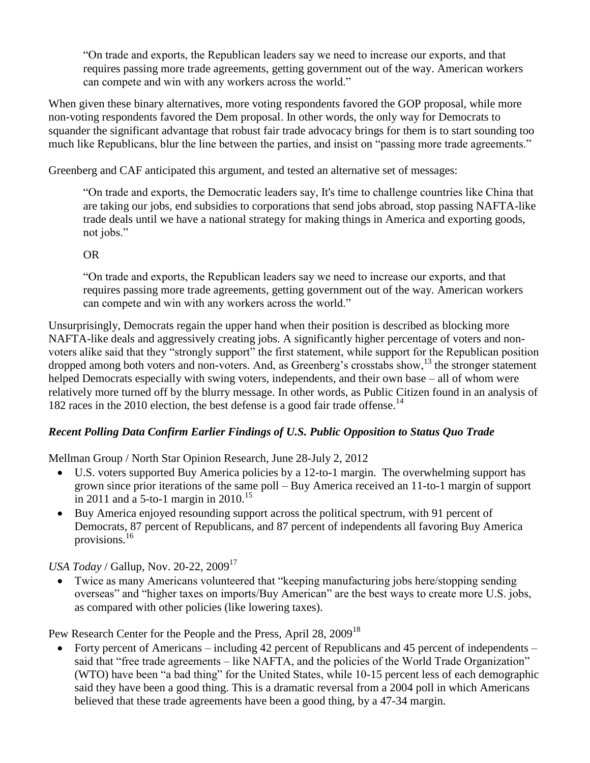"On trade and exports, the Republican leaders say we need to increase our exports, and that requires passing more trade agreements, getting government out of the way. American workers can compete and win with any workers across the world."

When given these binary alternatives, more voting respondents favored the GOP proposal, while more non-voting respondents favored the Dem proposal. In other words, the only way for Democrats to squander the significant advantage that robust fair trade advocacy brings for them is to start sounding too much like Republicans, blur the line between the parties, and insist on "passing more trade agreements."

Greenberg and CAF anticipated this argument, and tested an alternative set of messages:

"On trade and exports, the Democratic leaders say, It's time to challenge countries like China that are taking our jobs, end subsidies to corporations that send jobs abroad, stop passing NAFTA-like trade deals until we have a national strategy for making things in America and exporting goods, not jobs."

OR

"On trade and exports, the Republican leaders say we need to increase our exports, and that requires passing more trade agreements, getting government out of the way. American workers can compete and win with any workers across the world."

Unsurprisingly, Democrats regain the upper hand when their position is described as blocking more NAFTA-like deals and aggressively creating jobs. A significantly higher percentage of voters and nonvoters alike said that they "strongly support" the first statement, while support for the Republican position dropped among both voters and non-voters. And, as Greenberg's crosstabs show,<sup>13</sup> the stronger statement helped Democrats especially with swing voters, independents, and their own base – all of whom were relatively more turned off by the blurry message. In other words, as Public Citizen found in an analysis of 182 races in the 2010 election, the best defense is a good fair trade offense.<sup>14</sup>

## *Recent Polling Data Confirm Earlier Findings of U.S. Public Opposition to Status Quo Trade*

Mellman Group / North Star Opinion Research, June 28-July 2, 2012

- U.S. voters supported Buy America policies by a 12-to-1 margin. The overwhelming support has grown since prior iterations of the same poll – Buy America received an 11-to-1 margin of support in 2011 and a 5-to-1 margin in  $2010$ .<sup>15</sup>
- Buy America enjoyed resounding support across the political spectrum, with 91 percent of Democrats, 87 percent of Republicans, and 87 percent of independents all favoring Buy America provisions.<sup>16</sup>

*USA Today* / Gallup, Nov. 20-22, 2009<sup>17</sup>

 Twice as many Americans volunteered that "keeping manufacturing jobs here/stopping sending overseas" and "higher taxes on imports/Buy American" are the best ways to create more U.S. jobs, as compared with other policies (like lowering taxes).

Pew Research Center for the People and the Press, April 28, 2009<sup>18</sup>

Forty percent of Americans – including 42 percent of Republicans and 45 percent of independents – said that "free trade agreements – like NAFTA, and the policies of the World Trade Organization" (WTO) have been "a bad thing" for the United States, while 10-15 percent less of each demographic said they have been a good thing. This is a dramatic reversal from a 2004 poll in which Americans believed that these trade agreements have been a good thing, by a 47-34 margin.